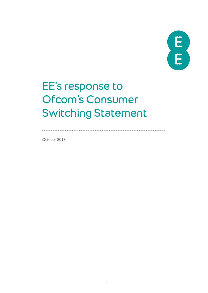

# EE's response to Ofcom's Consumer Switching Statement

October 2013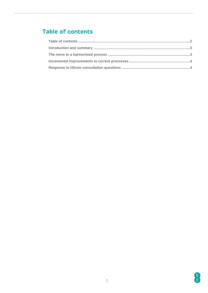## <span id="page-1-0"></span>Table of contents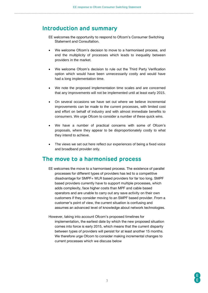#### <span id="page-2-0"></span>**Introduction and summary**

- EE welcomes the opportunity to respond to Ofcom's Consumer Switching Statement and Consultation.
- We welcome Ofcom's decision to move to a harmonised process, and end the multiplicity of processes which leads to inequality between providers in the market.
- We welcome Ofcom's decision to rule out the Third Party Verification option which would have been unnecessarily costly and would have had a long implementation time.
- We note the proposed implementation time scales and are concerned that any improvements will not be implemented until at least early 2015.
- On several occasions we have set out where we believe incremental improvements can be made to the current processes, with limited cost and effort on behalf of industry and with almost immediate benefits to consumers. We urge Ofcom to consider a number of these quick wins.
- We have a number of practical concerns with some of Ofcom's proposals, where they appear to be disproportionately costly to what they intend to achieve.
- The views we set out here reflect our experiences of being a fixed voice and broadband provider only.

## <span id="page-2-1"></span>**The move to a harmonised process**

- EE welcomes the move to a harmonised process. The existence of parallel processes for different types of providers has led to a competitive disadvantage for SMPF+ WLR based providers for far too long. SMPF based providers currently have to support multiple processes, which adds complexity, face higher costs than MPF and cable based operators and are unable to carry out any save activity on their own customers if they consider moving to an SMPF based provider. From a customer's point of view, the current situation is confusing and assumes an advanced level of knowledge about network technologies.
- However, taking into account Ofcom's proposed timelines for implementation, the earliest date by which the new proposed situation comes into force is early 2015, which means that the current disparity between types of providers will persist for at least another 15 months. We therefore urge Ofcom to consider making incremental changes to current processes which we discuss below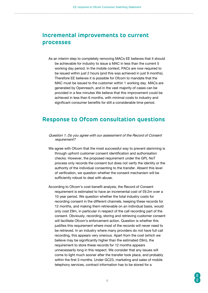## <span id="page-3-0"></span>**Incremental improvements to current processes**

As an interim step to completely removing MACs EE believes that it should be achievable for industry to issue a MAC in less than the current 5 working day period. In the mobile context, PACs are now required to be issued within just 2 hours (and this was achieved in just 9 months). Therefore EE believes it is possible for Ofcom to mandate that the MAC must be issued to the customer within 1 working day. MACs are generated by Openreach, and in the vast majority of cases can be provided in a few minutes We believe that this improvement could be achieved in less than 6 months, with minimal costs to industry and significant consumer benefits for still a considerable time period.

#### <span id="page-3-1"></span>**Response to Ofcom consultation questions**

- Question 1: Do you agree with our assessment of the Record of Consent requirement?
- We agree with Ofcom that the most successful way to prevent slamming is through upfront customer consent identification and authorisation checks. However, the proposed requirement under the GPL NoT process only records the consent but does not verify the identity or the authority of the individual consenting to the transfer. Absent this level of verification, we question whether the consent mechanism will be sufficiently robust to deal with abuse.
- According to Ofcom's cost-benefit analysis, the Record of Consent requirement is estimated to have an incremental cost of £9.2m over a 10 year period. We question whether the total industry costs for recording consent in the different channels, keeping these records for 12 months, and making them retrievable on an individual basis, would only cost £9m, in particular in respect of the call recording part of the consent. Obviously, recording, storing and retrieving customer consent will facilitate Ofcom's enforcement action. Question is whether this justifies this requirement where most of the records will never need to be retrieved. In an industry where many providers do not have full call recording, this appears very onerous. Apart from the cost (which we believe may be significantly higher than the estimated £9m), the requirement to store these records for 12 months appears unnecessarily long in this respect. We consider that any issues will come to light much sooner after the transfer took place, and probably within the first 3 months. Under GC23, marketing and sales of mobile telephony services, contract information has to be stored for a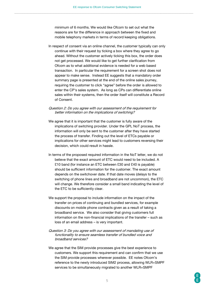minimum of 6 months. We would like Ofcom to set out what the reasons are for the difference in approach between the fixed and mobile telephony markets in terms of record keeping obligations.

In respect of consent via an online channel, the customer typically can only continue with their request by ticking a box where they agree to go ahead. Without the customer actively ticking this box, the order does not get processed. We would like to get further clarification from Ofcom as to what additional evidence is needed for a web based transaction. In particular the requirement for a screen shot does not appear to make sense. Instead EE suggests that a mandatory order summary page is presented at the end of the online sales journey, requiring the customer to click "agree" before the order is allowed to enter the CP's sales system. As long as CPs can differentiate online sales within their systems, then the order itself will constitute a Record of Consent.

Question 2: Do you agree with our assessment of the requirement for better information on the implications of switching?

- We agree that it is important that the customer is fully aware of the implications of switching provider. Under the GPL NoT process, the information will only be sent to the customer after they have started the process of transfer. Finding out the level of ETCs payable or implications for other services might lead to customers reversing their decision, which could result in hassle.
- In terms of the proposed required information in the NoT letter, we do not believe that the exact amount of ETC would need to be included. A £10 band (for instance an ETC between £30 and £40 is payable) should be sufficient information for the customer. The exact amount depends on the switchover date. If that date moves (delays to the switching of phone lines and broadband are not uncommon), the ETC will change. We therefore consider a small band indicating the level of the ETC to be sufficiently clear.
- We support the proposal to include information on the impact of the transfer on prices of continuing and bundled services, for example discounts on mobile phone contracts given as a result of taking a broadband service. We also consider that giving customers full information on the non-financial implications of the transfer – such as loss of an email address – is very important.

#### Question 3: Do you agree with our assessment of mandating use of functionality to ensure seamless transfer of bundled voice and broadband services?

We agree that the SIM provide processes give the best experience to customers. We support this requirement and can confirm that we use the SIM provide processes wherever possible. EE notes Ofcom's reference to the newly introduced SIM2 process, allowing WLR+SMPF services to be simultaneously migrated to another WLR+SMPF